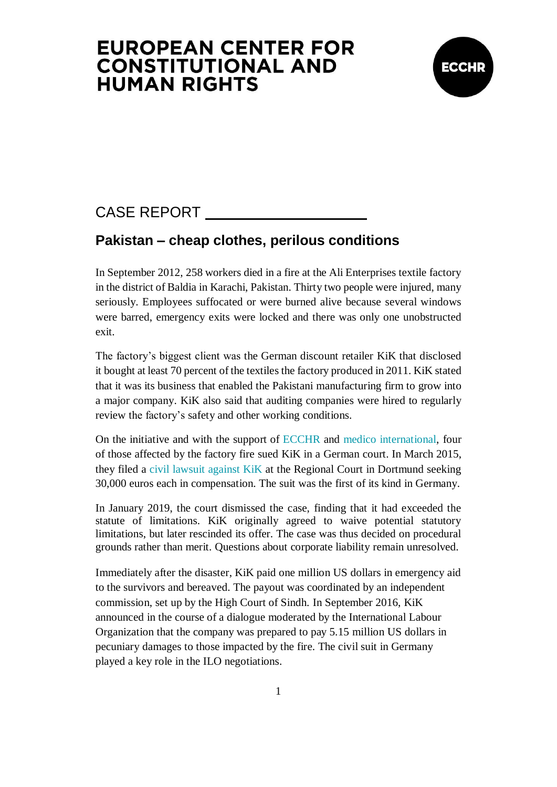## **EUROPEAN CENTER FOR CONSTITUTIONAL AND HUMAN RIGHTS**



## CASE REPORT

### **Pakistan – cheap clothes, perilous conditions**

In September 2012, 258 workers died in a fire at the Ali Enterprises textile factory in the district of Baldia in Karachi, Pakistan. Thirty two people were injured, many seriously. Employees suffocated or were burned alive because several windows were barred, emergency exits were locked and there was only one unobstructed exit.

The factory's biggest client was the German discount retailer KiK that disclosed it bought at least 70 percent of the textiles the factory produced in 2011. KiK stated that it was its business that enabled the Pakistani manufacturing firm to grow into a major company. KiK also said that auditing companies were hired to regularly review the factory's safety and other working conditions.

On the initiative and with the support of [ECCHR](https://www.ecchr.eu/en/) and [medico international,](https://www.medico.de/en/) four of those affected by the factory fire sued KiK in a German court. In March 2015, they filed a [civil lawsuit](https://www.ecchr.eu/en/case/kik-paying-the-price-for-clothing-production-in-south-asia/) against KiK at the Regional Court in Dortmund seeking 30,000 euros each in compensation. The suit was the first of its kind in Germany.

In January 2019, the court dismissed the case, finding that it had exceeded the statute of limitations. KiK originally agreed to waive potential statutory limitations, but later rescinded its offer. The case was thus decided on procedural grounds rather than merit. Questions about corporate liability remain unresolved.

Immediately after the disaster, KiK paid one million US dollars in emergency aid to the survivors and bereaved. The payout was coordinated by an independent commission, set up by the High Court of Sindh. In September 2016, KiK announced in the course of a dialogue moderated by the International Labour Organization that the company was prepared to pay 5.15 million US dollars in pecuniary damages to those impacted by the fire. The civil suit in Germany played a key role in the ILO negotiations.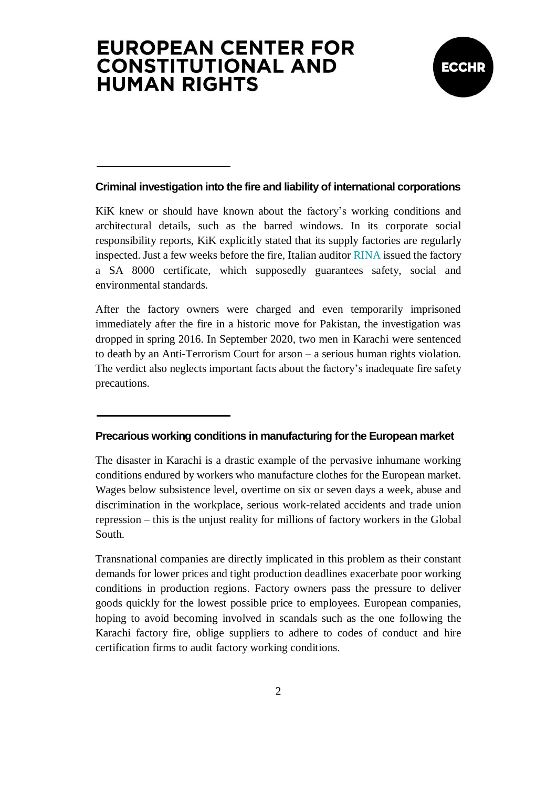# **EUROPEAN CENTER FOR CONSTITUTIONAL AND HUMAN RIGHTS**



#### **Criminal investigation into the fire and liability of international corporations**

KiK knew or should have known about the factory's working conditions and architectural details, such as the barred windows. In its corporate social responsibility reports, KiK explicitly stated that its supply factories are regularly inspected. Just a few weeks before the fire, Italian auditor [RINA](https://www.ecchr.eu/en/case/after-factory-fire-in-pakistan-proceedings-against-auditor-in-italy/) issued the factory a SA 8000 certificate, which supposedly guarantees safety, social and environmental standards.

After the factory owners were charged and even temporarily imprisoned immediately after the fire in a historic move for Pakistan, the investigation was dropped in spring 2016. In September 2020, two men in Karachi were sentenced to death by an Anti-Terrorism Court for arson – a serious human rights violation. The verdict also neglects important facts about the factory's inadequate fire safety precautions.

#### **Precarious working conditions in manufacturing for the European market**

The disaster in Karachi is a drastic example of the pervasive inhumane working conditions endured by workers who manufacture clothes for the European market. Wages below subsistence level, overtime on six or seven days a week, abuse and discrimination in the workplace, serious work-related accidents and trade union repression – this is the unjust reality for millions of factory workers in the Global South.

Transnational companies are directly implicated in this problem as their constant demands for lower prices and tight production deadlines exacerbate poor working conditions in production regions. Factory owners pass the pressure to deliver goods quickly for the lowest possible price to employees. European companies, hoping to avoid becoming involved in scandals such as the one following the Karachi factory fire, oblige suppliers to adhere to codes of conduct and hire certification firms to audit factory working conditions.